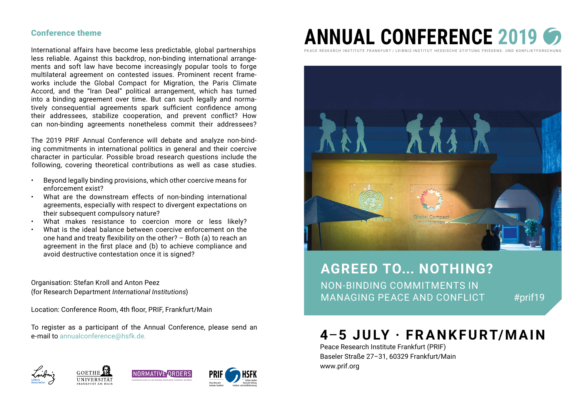#### Conference theme

International affairs have become less predictable, global partnerships less reliable. Against this backdrop, non-binding international arrangements and soft law have become increasingly popular tools to forge multilateral agreement on contested issues. Prominent recent frameworks include the Global Compact for Migration, the Paris Climate Accord, and the "Iran Deal" political arrangement, which has turned into a binding agreement over time. But can such legally and normatively consequential agreements spark sufficient confidence among their addressees, stabilize cooperation, and prevent conflict? How can non-binding agreements nonetheless commit their addressees?

The 2019 PRIF Annual Conference will debate and analyze non-binding commitments in international politics in general and their coercive character in particular. Possible broad research questions include the following, covering theoretical contributions as well as case studies.

- Beyond legally binding provisions, which other coercive means for enforcement exist?
- What are the downstream effects of non-binding international agreements, especially with respect to divergent expectations on their subsequent compulsory nature?
- What makes resistance to coercion more or less likely?
- What is the ideal balance between coercive enforcement on the one hand and treaty flexibility on the other? – Both (a) to reach an agreement in the first place and (b) to achieve compliance and avoid destructive contestation once it is signed?

Organisation: Stefan Kroll and Anton Peez (for Research Department *International Institutions*)

Location: Conference Room, 4th floor, PRIF, Frankfurt/Main

To register as a participant of the Annual Conference, please send an e-mail to annualconference@hsfk.de.









# **ANNUAL CONFERENCE 2019**

PEACE RESEARCH INSTITUTE FRANKFURT / LEIBNIZ-INSTITUT HESSISCHE STIFTUNG FRIEDENS- UND KONFLIKTFORSCHUNG



## **AGREED TO... NOTHING?** NON-BINDING COMMITMENTS IN MANAGING PEACE AND CONFLICT #prif19

## **4**–**5 JULY · FRANKFURT/MAIN**

Peace Research Institute Frankfurt (PRIF) Baseler Straße 27–31, 60329 Frankfurt/Main www.prif.org